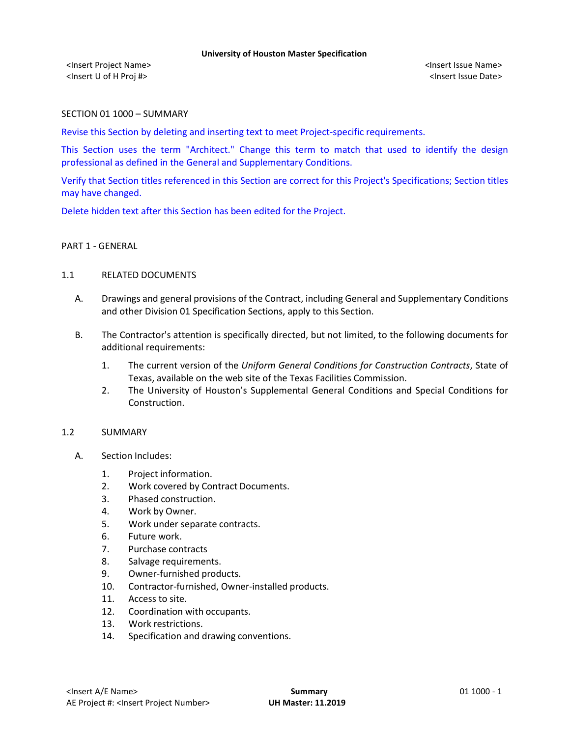<Insert Project Name> <Insert Issue Name> <Insert U of H Proj #> <Insert Issue Date>

## SECTION 01 1000 – SUMMARY

Revise this Section by deleting and inserting text to meet Project-specific requirements.

This Section uses the term "Architect." Change this term to match that used to identify the design professional as defined in the General and Supplementary Conditions.

Verify that Section titles referenced in this Section are correct for this Project's Specifications; Section titles may have changed.

Delete hidden text after this Section has been edited for the Project.

### PART 1 - GENERAL

### 1.1 RELATED DOCUMENTS

- A. Drawings and general provisions of the Contract, including General and Supplementary Conditions and other Division 01 Specification Sections, apply to this Section.
- B. The Contractor's attention is specifically directed, but not limited, to the following documents for additional requirements:
	- 1. The current version of the *Uniform General Conditions for Construction Contracts*, State of Texas, available on the web site of the Texas Facilities Commission.
	- 2. The University of Houston's Supplemental General Conditions and Special Conditions for Construction.

### 1.2 SUMMARY

- A. Section Includes:
	- 1. Project information.
	- 2. Work covered by Contract Documents.
	- 3. Phased construction.
	- 4. Work by Owner.
	- 5. Work under separate contracts.
	- 6. Future work.
	- 7. Purchase contracts
	- 8. Salvage requirements.
	- 9. Owner-furnished products.
	- 10. Contractor-furnished, Owner-installed products.
	- 11. Access to site.
	- 12. Coordination with occupants.
	- 13. Work restrictions.
	- 14. Specification and drawing conventions.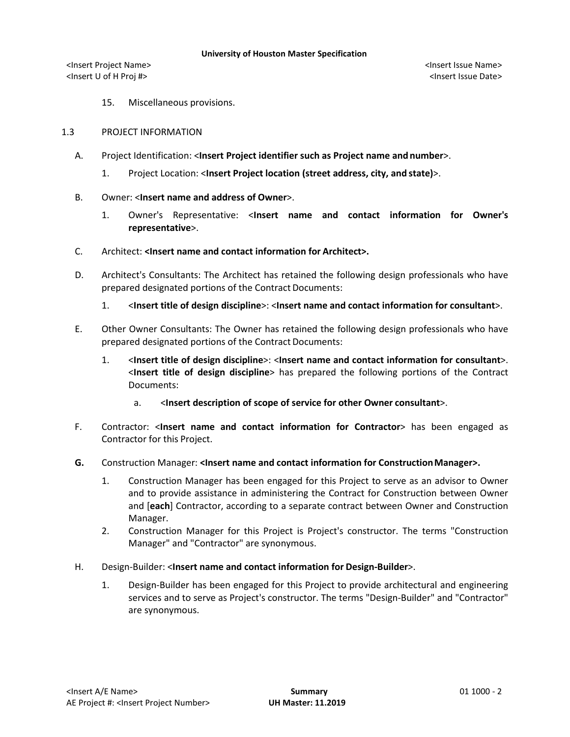<Insert Project Name> <Insert Issue Name> <Insert U of H Proj #> <Insert Issue Date>

15. Miscellaneous provisions.

## 1.3 PROJECT INFORMATION

- A. Project Identification: <**Insert Project identifier such as Project name and number**>.
	- 1. Project Location: <**Insert Project location (street address, city, and state)**>.
- B. Owner: <**Insert name and address of Owner**>.
	- 1. Owner's Representative: <**Insert name and contact information for Owner's representative**>.
- C. Architect: **<Insert name and contact information for Architect>.**
- D. Architect's Consultants: The Architect has retained the following design professionals who have prepared designated portions of the Contract Documents:
	- 1. <**Insert title of design discipline**>: <**Insert name and contact information for consultant**>.
- E. Other Owner Consultants: The Owner has retained the following design professionals who have prepared designated portions of the Contract Documents:
	- 1. <**Insert title of design discipline**>: <**Insert name and contact information for consultant**>. <**Insert title of design discipline**> has prepared the following portions of the Contract Documents:
		- a. <**Insert description of scope of service for other Owner consultant**>.
- F. Contractor: <**Insert name and contact information for Contractor**> has been engaged as Contractor for this Project.
- **G.** Construction Manager: **<Insert name and contact information for ConstructionManager>.**
	- 1. Construction Manager has been engaged for this Project to serve as an advisor to Owner and to provide assistance in administering the Contract for Construction between Owner and [**each**] Contractor, according to a separate contract between Owner and Construction Manager.
	- 2. Construction Manager for this Project is Project's constructor. The terms "Construction Manager" and "Contractor" are synonymous.
- H. Design-Builder: <**Insert name and contact information for Design-Builder**>.
	- 1. Design-Builder has been engaged for this Project to provide architectural and engineering services and to serve as Project's constructor. The terms "Design-Builder" and "Contractor" are synonymous.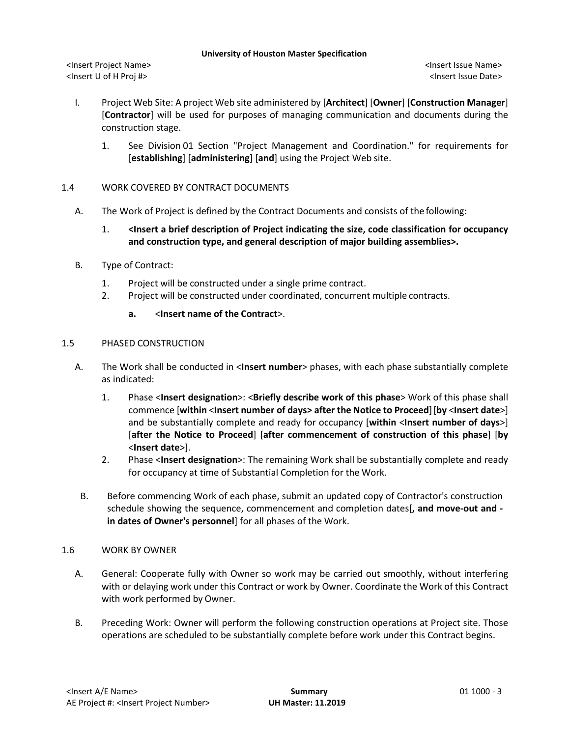<Insert Project Name> <Insert Issue Name> <Insert U of H Proj #> <Insert Issue Date>

- I. Project Web Site: A project Web site administered by [**Architect**] [**Owner**] [**Construction Manager**] [**Contractor**] will be used for purposes of managing communication and documents during the construction stage.
	- 1. See Division 01 Section "Project Management and Coordination." for requirements for [**establishing**] [**administering**] [**and**] using the Project Web site.

## 1.4 WORK COVERED BY CONTRACT DOCUMENTS

- A. The Work of Project is defined by the Contract Documents and consists of the following:
	- 1. **<Insert a brief description of Project indicating the size, code classification for occupancy and construction type, and general description of major building assemblies>.**
- B. Type of Contract:
	- 1. Project will be constructed under a single prime contract.
	- 2. Project will be constructed under coordinated, concurrent multiple contracts.
		- **a.** <**Insert name of the Contract**>.

## 1.5 PHASED CONSTRUCTION

- A. The Work shall be conducted in <**Insert number**> phases, with each phase substantially complete as indicated:
	- 1. Phase <**Insert designation**>: <**Briefly describe work of this phase**> Work of this phase shall commence [**within** <**Insert number of days> after the Notice to Proceed**][**by** <**Insert date**>] and be substantially complete and ready for occupancy [**within** <**Insert number of days**>] [**after the Notice to Proceed**] [**after commencement of construction of this phase**] [**by**  <**Insert date**>].
	- 2. Phase <**Insert designation**>: The remaining Work shall be substantially complete and ready for occupancy at time of Substantial Completion for the Work.
	- B. Before commencing Work of each phase, submit an updated copy of Contractor's construction schedule showing the sequence, commencement and completion dates[**, and move-out and in dates of Owner's personnel**] for all phases of the Work.

## 1.6 WORK BY OWNER

- A. General: Cooperate fully with Owner so work may be carried out smoothly, without interfering with or delaying work under this Contract or work by Owner. Coordinate the Work of this Contract with work performed by Owner.
- B. Preceding Work: Owner will perform the following construction operations at Project site. Those operations are scheduled to be substantially complete before work under this Contract begins.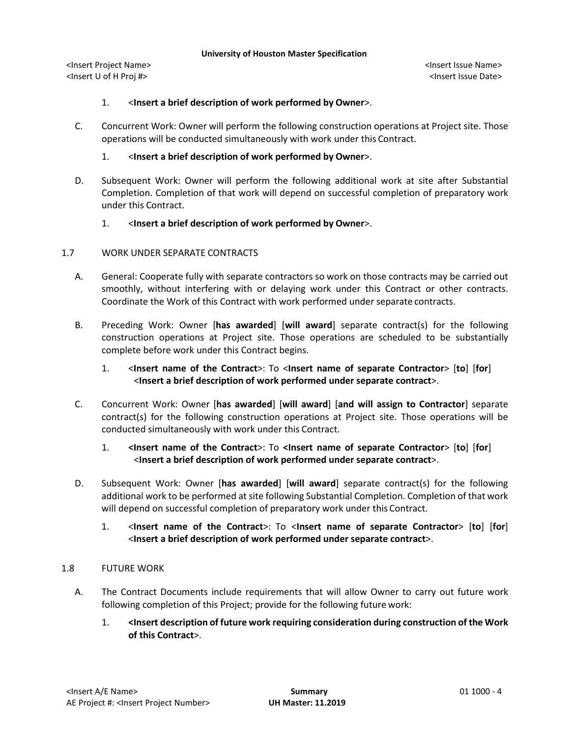<Insert Project Name> <Insert Issue Name> <Insert U of H Proj #> <Insert Issue Date>

## 1. <**Insert a brief description of work performed by Owner**>.

C. Concurrent Work: Owner will perform the following construction operations at Project site. Those operations will be conducted simultaneously with work under this Contract.

## 1. <**Insert a brief description of work performed by Owner**>.

D. Subsequent Work: Owner will perform the following additional work at site after Substantial Completion. Completion of that work will depend on successful completion of preparatory work under this Contract.

## 1. <**Insert a brief description of work performed by Owner**>.

## 1.7 WORK UNDER SEPARATE CONTRACTS

- A. General: Cooperate fully with separate contractors so work on those contracts may be carried out smoothly, without interfering with or delaying work under this Contract or other contracts. Coordinate the Work of this Contract with work performed under separate contracts.
- B. Preceding Work: Owner [**has awarded**] [**will award**] separate contract(s) for the following construction operations at Project site. Those operations are scheduled to be substantially complete before work under this Contract begins.
	- 1. <**Insert name of the Contract**>: To <**Insert name of separate Contractor**> [**to**] [**for**] <**Insert a brief description of work performed under separate contract**>.
- C. Concurrent Work: Owner [**has awarded**] [**will award**] [**and will assign to Contractor**] separate contract(s) for the following construction operations at Project site. Those operations will be conducted simultaneously with work under this Contract.

## 1. **<Insert name of the Contract**>: To **<Insert name of separate Contractor**> [**to**] [**for**] <**Insert a brief description of work performed under separate contract**>.

- D. Subsequent Work: Owner [**has awarded**] [**will award**] separate contract(s) for the following additional work to be performed at site following Substantial Completion. Completion of that work will depend on successful completion of preparatory work under this Contract.
	- 1. <**Insert name of the Contract**>: To <**Insert name of separate Contractor**> [**to**] [**for**] <**Insert a brief description of work performed under separate contract**>.

## 1.8 FUTURE WORK

- A. The Contract Documents include requirements that will allow Owner to carry out future work following completion of this Project; provide for the following future work:
	- 1. **<Insert description of future work requiring consideration during construction of the Work of this Contract**>.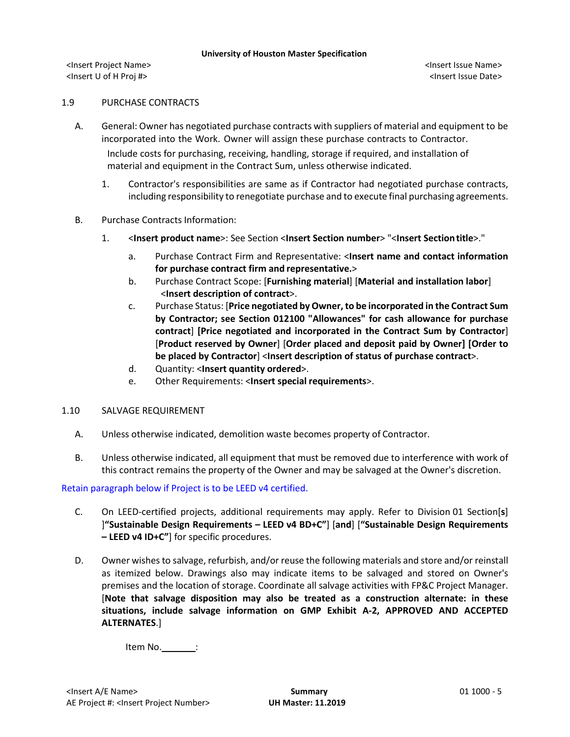<Insert Project Name> <Insert Issue Name> <Insert U of H Proj #> <Insert Issue Date>

## 1.9 PURCHASE CONTRACTS

- A. General: Owner has negotiated purchase contracts with suppliers of material and equipment to be incorporated into the Work. Owner will assign these purchase contracts to Contractor. Include costs for purchasing, receiving, handling, storage if required, and installation of material and equipment in the Contract Sum, unless otherwise indicated.
	- 1. Contractor's responsibilities are same as if Contractor had negotiated purchase contracts, including responsibility to renegotiate purchase and to execute final purchasing agreements.
- B. Purchase Contracts Information:
	- 1. <**Insert product name**>: See Section <**Insert Section number**> "<**Insert Sectiontitle**>."
		- a. Purchase Contract Firm and Representative: <**Insert name and contact information for purchase contract firm and representative.**>
		- b. Purchase Contract Scope: [**Furnishing material**] [**Material and installation labor**] <**Insert description of contract**>.
		- c. Purchase Status: [**Price negotiated by Owner, to be incorporated in the Contract Sum by Contractor; see Section 012100 "Allowances" for cash allowance for purchase contract**] **[Price negotiated and incorporated in the Contract Sum by Contractor**] [**Product reserved by Owner**] [**Order placed and deposit paid by Owner] [Order to be placed by Contractor**] <**Insert description of status of purchase contract**>.
		- d. Quantity: <**Insert quantity ordered**>.
		- e. Other Requirements: <**Insert special requirements**>.
- 1.10 SALVAGE REQUIREMENT
	- A. Unless otherwise indicated, demolition waste becomes property of Contractor.
	- B. Unless otherwise indicated, all equipment that must be removed due to interference with work of this contract remains the property of the Owner and may be salvaged at the Owner's discretion.

Retain paragraph below if Project is to be LEED v4 certified.

- C. On LEED-certified projects, additional requirements may apply. Refer to Division 01 Section[**s**] ]**"Sustainable Design Requirements – LEED v4 BD+C"**] [**and**] [**"Sustainable Design Requirements – LEED v4 ID+C"**] for specific procedures.
- D. Owner wishes to salvage, refurbish, and/or reuse the following materials and store and/or reinstall as itemized below. Drawings also may indicate items to be salvaged and stored on Owner's premises and the location of storage. Coordinate all salvage activities with FP&C Project Manager. [**Note that salvage disposition may also be treated as a construction alternate: in these situations, include salvage information on GMP Exhibit A-2, APPROVED AND ACCEPTED ALTERNATES**.]

Item No. $\_\_\_\_\_\$ :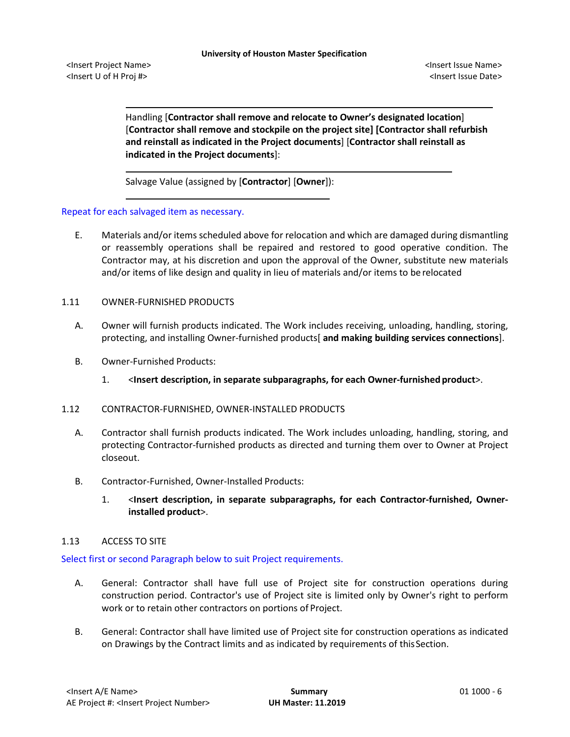<Insert Project Name> <Insert Issue Name> <Insert U of H Proj #> <Insert Issue Date>

Handling [**Contractor shall remove and relocate to Owner's designated location**] [**Contractor shall remove and stockpile on the project site] [Contractor shall refurbish and reinstall as indicated in the Project documents**] [**Contractor shall reinstall as indicated in the Project documents**]:

Salvage Value (assigned by [**Contractor**] [**Owner**]):

Repeat for each salvaged item as necessary.

E. Materials and/or items scheduled above for relocation and which are damaged during dismantling or reassembly operations shall be repaired and restored to good operative condition. The Contractor may, at his discretion and upon the approval of the Owner, substitute new materials and/or items of like design and quality in lieu of materials and/or items to be relocated

## 1.11 OWNER-FURNISHED PRODUCTS

- A. Owner will furnish products indicated. The Work includes receiving, unloading, handling, storing, protecting, and installing Owner-furnished products[ **and making building services connections**].
- B. Owner-Furnished Products:
	- 1. <**Insert description, in separate subparagraphs, for each Owner-furnished product**>.

## 1.12 CONTRACTOR-FURNISHED, OWNER-INSTALLED PRODUCTS

- A. Contractor shall furnish products indicated. The Work includes unloading, handling, storing, and protecting Contractor-furnished products as directed and turning them over to Owner at Project closeout.
- B. Contractor-Furnished, Owner-Installed Products:
	- 1. <**Insert description, in separate subparagraphs, for each Contractor-furnished, Ownerinstalled product**>.

## 1.13 ACCESS TO SITE

Select first or second Paragraph below to suit Project requirements.

- A. General: Contractor shall have full use of Project site for construction operations during construction period. Contractor's use of Project site is limited only by Owner's right to perform work or to retain other contractors on portions of Project.
- B. General: Contractor shall have limited use of Project site for construction operations as indicated on Drawings by the Contract limits and as indicated by requirements of thisSection.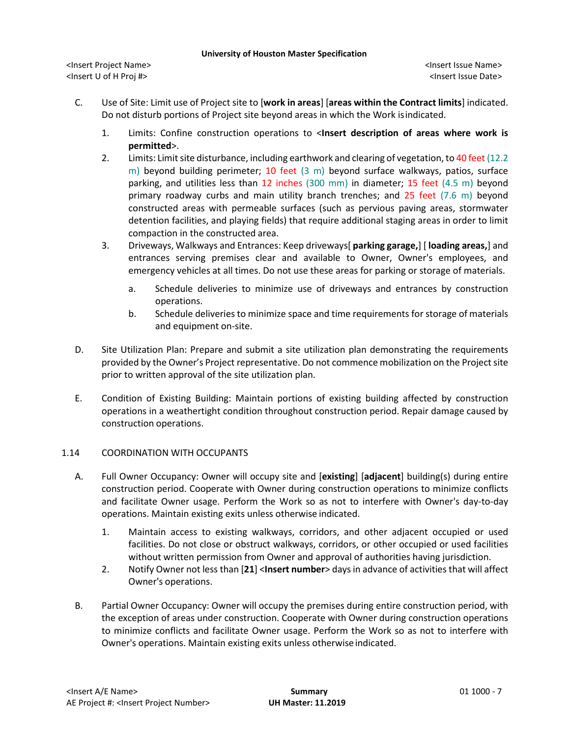<Insert Project Name> <Insert Issue Name> <Insert U of H Proj #> <Insert Issue Date>

- C. Use of Site: Limit use of Project site to [**work in areas**] [**areas within the Contract limits**] indicated. Do not disturb portions of Project site beyond areas in which the Work isindicated.
	- 1. Limits: Confine construction operations to <**Insert description of areas where work is permitted**>.
	- 2. Limits: Limit site disturbance, including earthwork and clearing of vegetation, to 40 feet (12.2 m) beyond building perimeter; 10 feet (3 m) beyond surface walkways, patios, surface parking, and utilities less than 12 inches (300 mm) in diameter; 15 feet (4.5 m) beyond primary roadway curbs and main utility branch trenches; and 25 feet (7.6 m) beyond constructed areas with permeable surfaces (such as pervious paving areas, stormwater detention facilities, and playing fields) that require additional staging areas in order to limit compaction in the constructed area.
	- 3. Driveways, Walkways and Entrances: Keep driveways[ **parking garage,**] [ **loading areas,**] and entrances serving premises clear and available to Owner, Owner's employees, and emergency vehicles at all times. Do not use these areas for parking or storage of materials.
		- a. Schedule deliveries to minimize use of driveways and entrances by construction operations.
		- b. Schedule deliveries to minimize space and time requirements for storage of materials and equipment on-site.
- D. Site Utilization Plan: Prepare and submit a site utilization plan demonstrating the requirements provided by the Owner's Project representative. Do not commence mobilization on the Project site prior to written approval of the site utilization plan.
- E. Condition of Existing Building: Maintain portions of existing building affected by construction operations in a weathertight condition throughout construction period. Repair damage caused by construction operations.

# 1.14 COORDINATION WITH OCCUPANTS

- A. Full Owner Occupancy: Owner will occupy site and [**existing**] [**adjacent**] building(s) during entire construction period. Cooperate with Owner during construction operations to minimize conflicts and facilitate Owner usage. Perform the Work so as not to interfere with Owner's day-to-day operations. Maintain existing exits unless otherwise indicated.
	- 1. Maintain access to existing walkways, corridors, and other adjacent occupied or used facilities. Do not close or obstruct walkways, corridors, or other occupied or used facilities without written permission from Owner and approval of authorities having jurisdiction.
	- 2. Notify Owner not less than [**21**] <**Insert number**> days in advance of activities that will affect Owner's operations.
- B. Partial Owner Occupancy: Owner will occupy the premises during entire construction period, with the exception of areas under construction. Cooperate with Owner during construction operations to minimize conflicts and facilitate Owner usage. Perform the Work so as not to interfere with Owner's operations. Maintain existing exits unless otherwiseindicated.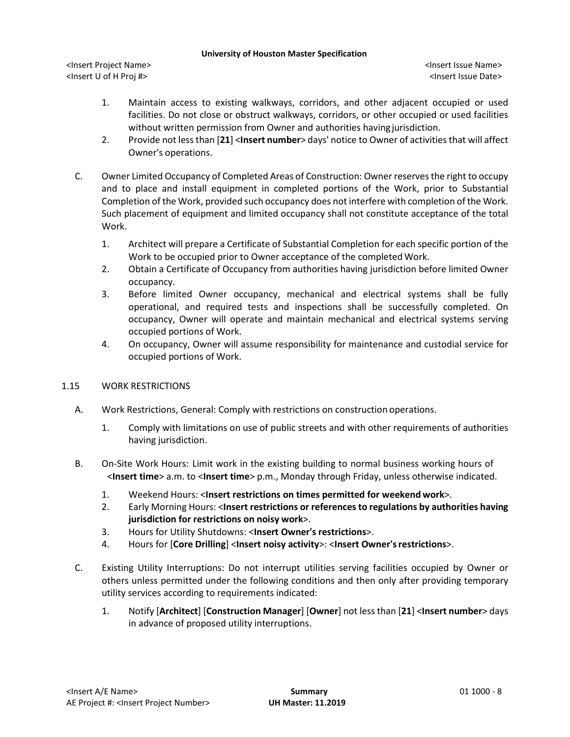<Insert Project Name> <Insert Issue Name> <Insert U of H Proj #> <Insert Issue Date>

- 1. Maintain access to existing walkways, corridors, and other adjacent occupied or used facilities. Do not close or obstruct walkways, corridors, or other occupied or used facilities without written permission from Owner and authorities having jurisdiction.
- 2. Provide not less than [**21**] <**Insert number**> days' notice to Owner of activities that will affect Owner's operations.
- C. Owner Limited Occupancy of Completed Areas of Construction: Owner reserves the right to occupy and to place and install equipment in completed portions of the Work, prior to Substantial Completion of the Work, provided such occupancy does not interfere with completion of the Work. Such placement of equipment and limited occupancy shall not constitute acceptance of the total Work.
	- 1. Architect will prepare a Certificate of Substantial Completion for each specific portion of the Work to be occupied prior to Owner acceptance of the completed Work.
	- 2. Obtain a Certificate of Occupancy from authorities having jurisdiction before limited Owner occupancy.
	- 3. Before limited Owner occupancy, mechanical and electrical systems shall be fully operational, and required tests and inspections shall be successfully completed. On occupancy, Owner will operate and maintain mechanical and electrical systems serving occupied portions of Work.
	- 4. On occupancy, Owner will assume responsibility for maintenance and custodial service for occupied portions of Work.

# 1.15 WORK RESTRICTIONS

- A. Work Restrictions, General: Comply with restrictions on construction operations.
	- 1. Comply with limitations on use of public streets and with other requirements of authorities having jurisdiction.
- B. On-Site Work Hours: Limit work in the existing building to normal business working hours of <**Insert time**> a.m. to <**Insert time**> p.m., Monday through Friday, unless otherwise indicated.
	- 1. Weekend Hours: <**Insert restrictions on times permitted for weekend work**>.
	- 2. Early Morning Hours: <**Insert restrictions or references to regulations by authorities having jurisdiction for restrictions on noisy work**>.
	- 3. Hours for Utility Shutdowns: <**Insert Owner's restrictions**>.
	- 4. Hours for [**Core Drilling**] <**Insert noisy activity**>: <**Insert Owner'srestrictions**>.
- C. Existing Utility Interruptions: Do not interrupt utilities serving facilities occupied by Owner or others unless permitted under the following conditions and then only after providing temporary utility services according to requirements indicated:
	- 1. Notify [**Architect**] [**Construction Manager**] [**Owner**] not less than [**21**] <**Insert number**> days in advance of proposed utility interruptions.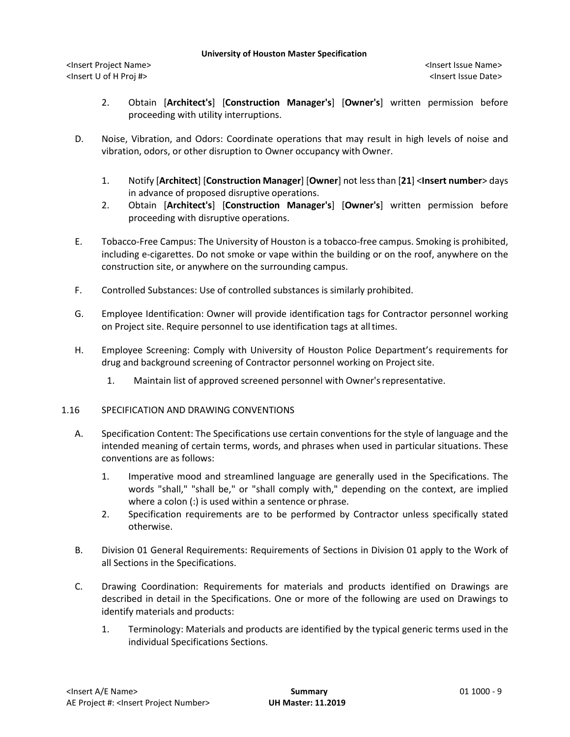<Insert Project Name> <Insert Issue Name> <Insert U of H Proj #> <Insert Issue Date>

- 2. Obtain [**Architect's**] [**Construction Manager's**] [**Owner's**] written permission before proceeding with utility interruptions.
- D. Noise, Vibration, and Odors: Coordinate operations that may result in high levels of noise and vibration, odors, or other disruption to Owner occupancy with Owner.
	- 1. Notify [**Architect**] [**Construction Manager**] [**Owner**] not less than [**21**] <**Insert number**> days in advance of proposed disruptive operations.
	- 2. Obtain [**Architect's**] [**Construction Manager's**] [**Owner's**] written permission before proceeding with disruptive operations.
- E. Tobacco-Free Campus: The University of Houston is a tobacco-free campus. Smoking is prohibited, including e-cigarettes. Do not smoke or vape within the building or on the roof, anywhere on the construction site, or anywhere on the surrounding campus.
- F. Controlled Substances: Use of controlled substances is similarly prohibited.
- G. Employee Identification: Owner will provide identification tags for Contractor personnel working on Project site. Require personnel to use identification tags at alltimes.
- H. Employee Screening: Comply with University of Houston Police Department's requirements for drug and background screening of Contractor personnel working on Project site.
	- 1. Maintain list of approved screened personnel with Owner'srepresentative.

## 1.16 SPECIFICATION AND DRAWING CONVENTIONS

- A. Specification Content: The Specifications use certain conventions for the style of language and the intended meaning of certain terms, words, and phrases when used in particular situations. These conventions are as follows:
	- 1. Imperative mood and streamlined language are generally used in the Specifications. The words "shall," "shall be," or "shall comply with," depending on the context, are implied where a colon (:) is used within a sentence or phrase.
	- 2. Specification requirements are to be performed by Contractor unless specifically stated otherwise.
- B. Division 01 General Requirements: Requirements of Sections in Division 01 apply to the Work of all Sections in the Specifications.
- C. Drawing Coordination: Requirements for materials and products identified on Drawings are described in detail in the Specifications. One or more of the following are used on Drawings to identify materials and products:
	- 1. Terminology: Materials and products are identified by the typical generic terms used in the individual Specifications Sections.